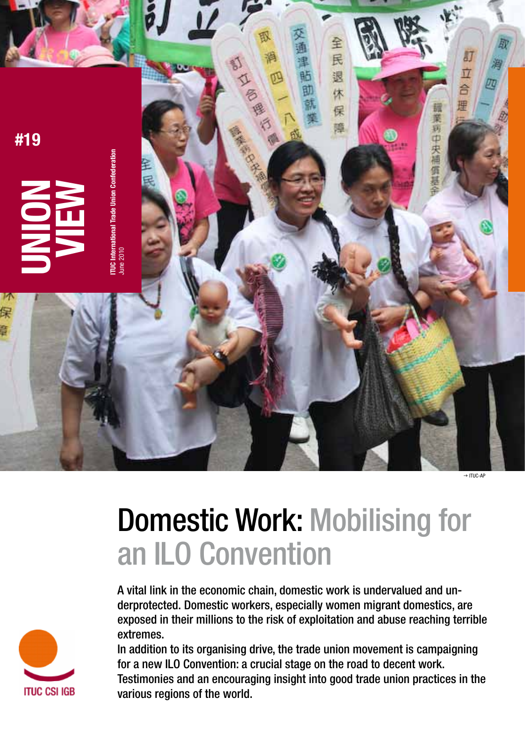

# Domestic Work: Mobilising for an ILO Convention

A vital link in the economic chain, domestic work is undervalued and underprotected. Domestic workers, especially women migrant domestics, are exposed in their millions to the risk of exploitation and abuse reaching terrible extremes.

In addition to its organising drive, the trade union movement is campaigning for a new ILO Convention: a crucial stage on the road to decent work. Testimonies and an encouraging insight into good trade union practices in the various regions of the world.

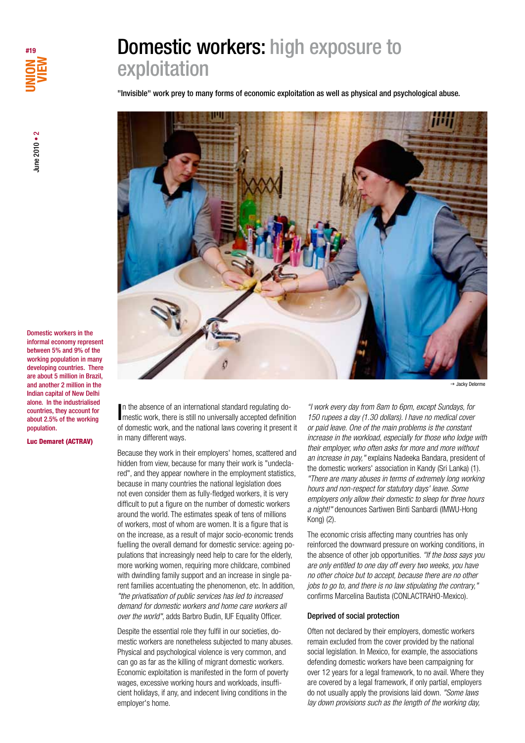

June 2010 • 2

une 2010 • 2

"Invisible" work prey to many forms of economic exploitation as well as physical and psychological abuse.



 $\rightarrow$  Jacky Delorme

In the absence of an international standard regulating domestic work, there is still no universally accepted definition n the absence of an international standard regulating doof domestic work, and the national laws covering it present it in many different ways.

Because they work in their employers' homes, scattered and hidden from view, because for many their work is "undeclared", and they appear nowhere in the employment statistics, because in many countries the national legislation does not even consider them as fully-fledged workers, it is very difficult to put a figure on the number of domestic workers around the world. The estimates speak of tens of millions of workers, most of whom are women. It is a figure that is on the increase, as a result of major socio-economic trends fuelling the overall demand for domestic service: ageing populations that increasingly need help to care for the elderly, more working women, requiring more childcare, combined with dwindling family support and an increase in single parent families accentuating the phenomenon, etc. In addition, *"the privatisation of public services has led to increased demand for domestic workers and home care workers all over the world"*, adds Barbro Budin, IUF Equality Officer.

Despite the essential role they fulfil in our societies, domestic workers are nonetheless subjected to many abuses. Physical and psychological violence is very common, and can go as far as the killing of migrant domestic workers. Economic exploitation is manifested in the form of poverty wages, excessive working hours and workloads, insufficient holidays, if any, and indecent living conditions in the employer's home.

*"I work every day from 8am to 6pm, except Sundays, for 150 rupees a day (1.30 dollars). I have no medical cover or paid leave. One of the main problems is the constant increase in the workload, especially for those who lodge with their employer, who often asks for more and more without an increase in pay,"* explains Nadeeka Bandara, president of the domestic workers' association in Kandy (Sri Lanka) (1). *"There are many abuses in terms of extremely long working hours and non-respect for statutory days' leave. Some employers only allow their domestic to sleep for three hours a night!"* denounces Sartiwen Binti Sanbardi (IMWU-Hong Kong) (2).

The economic crisis affecting many countries has only reinforced the downward pressure on working conditions, in the absence of other job opportunities. *"If the boss says you are only entitled to one day off every two weeks, you have no other choice but to accept, because there are no other jobs to go to, and there is no law stipulating the contrary,"*  confirms Marcelina Bautista (CONLACTRAHO-Mexico).

### Deprived of social protection

Often not declared by their employers, domestic workers remain excluded from the cover provided by the national social legislation. In Mexico, for example, the associations defending domestic workers have been campaigning for over 12 years for a legal framework, to no avail. Where they are covered by a legal framework, if only partial, employers do not usually apply the provisions laid down. *"Some laws lay down provisions such as the length of the working day,* 

Domestic workers in the informal economy represent between 5% and 9% of the working population in many developing countries. There are about 5 million in Brazil, and another 2 million in the Indian capital of New Delhi alone. In the industrialised countries, they account for about 2.5% of the working population.

Luc Demaret (ACTRAV)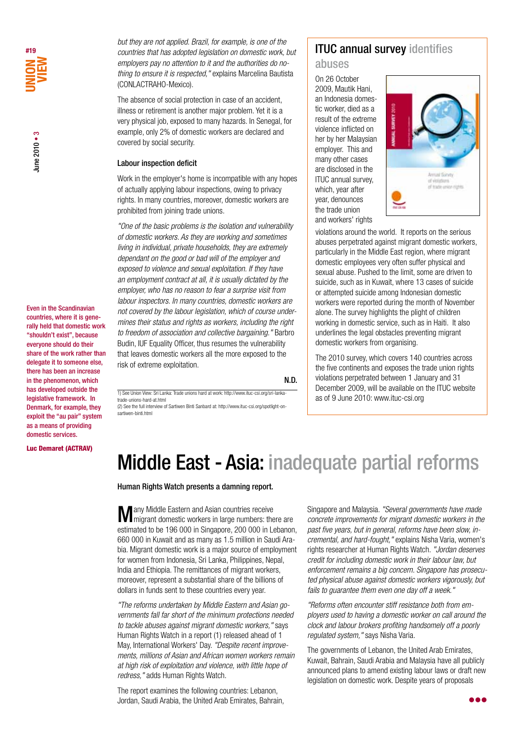Even in the Scandinavian countries, where it is generally held that domestic work "shouldn't exist", because everyone should do their share of the work rather than delegate it to someone else, there has been an increase in the phenomenon, which has developed outside the legislative framework. In Denmark, for example, they exploit the "au pair" system as a means of providing domestic services.

Luc Demaret (ACTRAV)

*but they are not applied. Brazil, for example, is one of the countries that has adopted legislation on domestic work, but employers pay no attention to it and the authorities do nothing to ensure it is respected,"* explains Marcelina Bautista (CONLACTRAHO-Mexico).

The absence of social protection in case of an accident, illness or retirement is another major problem. Yet it is a very physical job, exposed to many hazards. In Senegal, for example, only 2% of domestic workers are declared and covered by social security.

### Labour inspection deficit

Work in the employer's home is incompatible with any hopes of actually applying labour inspections, owing to privacy rights. In many countries, moreover, domestic workers are prohibited from joining trade unions.

*"One of the basic problems is the isolation and vulnerability of domestic workers. As they are working and sometimes living in individual, private households, they are extremely dependant on the good or bad will of the employer and exposed to violence and sexual exploitation. If they have an employment contract at all, it is usually dictated by the employer, who has no reason to fear a surprise visit from labour inspectors. In many countries, domestic workers are not covered by the labour legislation, which of course undermines their status and rights as workers, including the right to freedom of association and collective bargaining."* Barbro Budin, IUF Equality Officer, thus resumes the vulnerability that leaves domestic workers all the more exposed to the risk of extreme exploitation.

#### N.D.

1) See Union View: Sri Lanka: Trade unions hard at work: http://www.ituc-csi.org/sri-lankatrade-unions-hard-at.html (2) See the full interview of Sartiwen Binti Sanbard at: http://www.ituc-csi.org/spotlight-onsartiwen-binti.html

# ITUC annual survey identifies

# abuses

On 26 October 2009, Mautik Hani, an Indonesia domestic worker, died as a result of the extreme violence inflicted on her by her Malaysian employer. This and many other cases are disclosed in the ITUC annual survey, which, year after year, denounces the trade union and workers' rights



violations around the world. It reports on the serious abuses perpetrated against migrant domestic workers, particularly in the Middle East region, where migrant domestic employees very often suffer physical and sexual abuse. Pushed to the limit, some are driven to suicide, such as in Kuwait, where 13 cases of suicide or attempted suicide among Indonesian domestic workers were reported during the month of November alone. The survey highlights the plight of children working in domestic service, such as in Haiti. It also underlines the legal obstacles preventing migrant domestic workers from organising.

The 2010 survey, which covers 140 countries across the five continents and exposes the trade union rights violations perpetrated between 1 January and 31 December 2009, will be available on the ITUC website as of 9 June 2010: www.ituc-csi.org

# Middle East - Asia: inadequate partial reforms

Human Rights Watch presents a damning report.

**M** any Middle Eastern and Asian countries receive are in large numbers: there are estimated to be 196 000 in Singapore, 200 000 in Lebanon, 660 000 in Kuwait and as many as 1.5 million in Saudi Arabia. Migrant domestic work is a major source of employment for women from Indonesia, Sri Lanka, Philippines, Nepal, India and Ethiopia. The remittances of migrant workers, moreover, represent a substantial share of the billions of dollars in funds sent to these countries every year.

*"The reforms undertaken by Middle Eastern and Asian governments fall far short of the minimum protections needed to tackle abuses against migrant domestic workers,"* says Human Rights Watch in a report (1) released ahead of 1 May, International Workers' Day. *"Despite recent improvements, millions of Asian and African women workers remain at high risk of exploitation and violence, with little hope of redress,"* adds Human Rights Watch.

The report examines the following countries: Lebanon, Jordan, Saudi Arabia, the United Arab Emirates, Bahrain, Singapore and Malaysia. *"Several governments have made concrete improvements for migrant domestic workers in the past five years, but in general, reforms have been slow, incremental, and hard-fought,"* explains Nisha Varia, women's rights researcher at Human Rights Watch. *"Jordan deserves credit for including domestic work in their labour law, but enforcement remains a big concern. Singapore has prosecuted physical abuse against domestic workers vigorously, but fails to guarantee them even one day off a week."*

*"Reforms often encounter stiff resistance both from employers used to having a domestic worker on call around the clock and labour brokers profiting handsomely off a poorly regulated system,"* says Nisha Varia.

The governments of Lebanon, the United Arab Emirates, Kuwait, Bahrain, Saudi Arabia and Malaysia have all publicly announced plans to amend existing labour laws or draft new legislation on domestic work. Despite years of proposals

a a a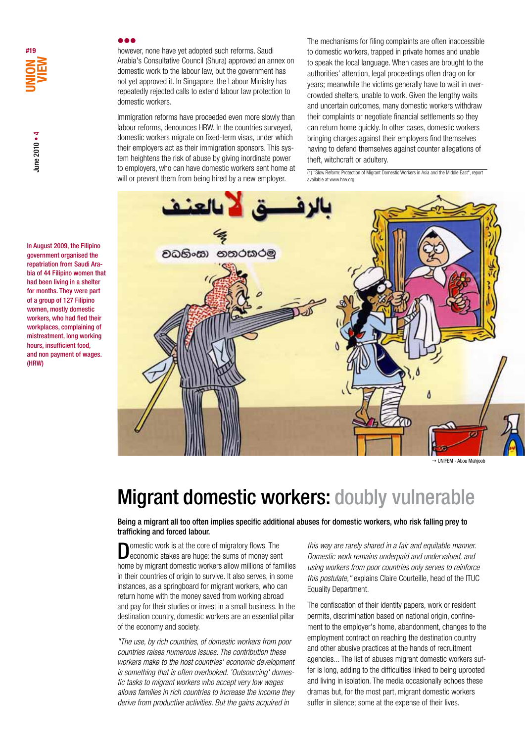however, none have yet adopted such reforms. Saudi Arabia's Consultative Council (Shura) approved an annex on domestic work to the labour law, but the government has not yet approved it. In Singapore, the Labour Ministry has repeatedly rejected calls to extend labour law protection to domestic workers.

Immigration reforms have proceeded even more slowly than labour reforms, denounces HRW. In the countries surveyed, domestic workers migrate on fixed-term visas, under which their employers act as their immigration sponsors. This system heightens the risk of abuse by giving inordinate power to employers, who can have domestic workers sent home at will or prevent them from being hired by a new employer.

The mechanisms for filing complaints are often inaccessible to domestic workers, trapped in private homes and unable to speak the local language. When cases are brought to the authorities' attention, legal proceedings often drag on for years; meanwhile the victims generally have to wait in overcrowded shelters, unable to work. Given the lengthy waits and uncertain outcomes, many domestic workers withdraw their complaints or negotiate financial settlements so they can return home quickly. In other cases, domestic workers bringing charges against their employers find themselves having to defend themselves against counter allegations of theft, witchcraft or adultery.

(1) "Slow Reform: Protection of Migrant Domestic Workers in Asia and the Middle East", report available at www.hrw.org



→ UNIFEM - Abou Mahjoob

# Migrant domestic workers: doubly vulnerable

Being a migrant all too often implies specific additional abuses for domestic workers, who risk falling prey to trafficking and forced labour.

omestic work is at the core of migratory flows. The economic stakes are huge: the sums of money sent home by migrant domestic workers allow millions of families in their countries of origin to survive. It also serves, in some instances, as a springboard for migrant workers, who can return home with the money saved from working abroad and pay for their studies or invest in a small business. In the destination country, domestic workers are an essential pillar of the economy and society.

*"The use, by rich countries, of domestic workers from poor countries raises numerous issues. The contribution these workers make to the host countries' economic development is something that is often overlooked. 'Outsourcing' domestic tasks to migrant workers who accept very low wages allows families in rich countries to increase the income they derive from productive activities. But the gains acquired in* 

*this way are rarely shared in a fair and equitable manner. Domestic work remains underpaid and undervalued, and using workers from poor countries only serves to reinforce this postulate,"* explains Claire Courteille, head of the ITUC Equality Department.

The confiscation of their identity papers, work or resident permits, discrimination based on national origin, confinement to the employer's home, abandonment, changes to the employment contract on reaching the destination country and other abusive practices at the hands of recruitment agencies... The list of abuses migrant domestic workers suffer is long, adding to the difficulties linked to being uprooted and living in isolation. The media occasionally echoes these dramas but, for the most part, migrant domestic workers suffer in silence; some at the expense of their lives.

In August 2009, the Filipino government organised the repatriation from Saudi Arabia of 44 Filipino women that had been living in a shelter for months. They were part of a group of 127 Filipino women, mostly domestic workers, who had fled their workplaces, complaining of mistreatment, long working hours, insufficient food, and non payment of wages. (HRW)

# **UNION VIEW #19**

une 2010 • 4 June 2010 • 4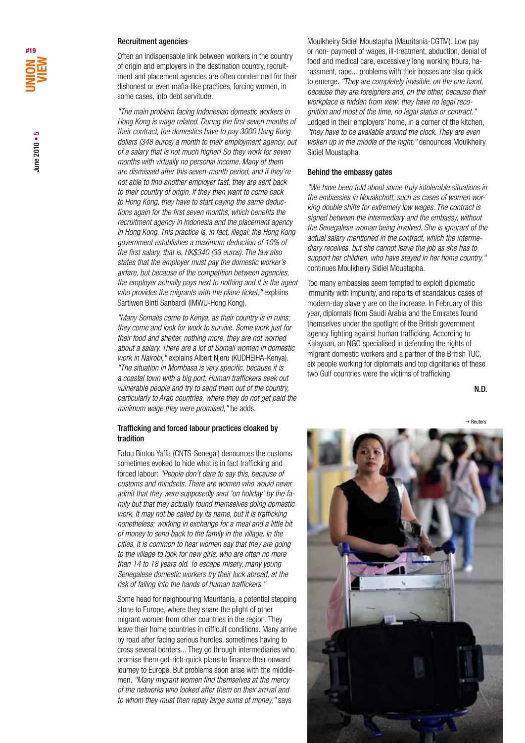### Recruitment agencies

Often an indispensable link between workers in the country of origin and employers in the destination country, recruitment and placement agencies are often condemned for their dishonest or even mafia-like practices, forcing women, in some cases, into debt servitude.

*"The main problem facing Indonesian domestic workers in Hong Kong is wage related. During the first seven months of their contract, the domestics have to pay 3000 Hong Kong dollars (348 euros) a month to their employment agency, out of a salary that is not much higher! So they work for seven months with virtually no personal income. Many of them are dismissed after this seven-month period, and if they're not able to find another employer fast, they are sent back to their country of origin. If they then want to come back to Hong Kong, they have to start paying the same deductions again for the first seven months, which benefits the recruitment agency in Indonesia and the placement agency in Hong Kong. This practice is, in fact, illegal: the Hong Kong government establishes a maximum deduction of 10% of the first salary, that is, HK\$340 (33 euros). The law also states that the employer must pay the domestic worker's airfare, but because of the competition between agencies, the employer actually pays next to nothing and it is the agent who provides the migrants with the plane ticket,"* explains Sartiwen Binti Sanbardi (IMWU-Hong Kong).

*"Many Somalis come to Kenya, as their country is in ruins; they come and look for work to survive. Some work just for their food and shelter, nothing more, they are not worried about a salary. There are a lot of Somali women in domestic work in Nairobi,"* explains Albert Njeru (KUDHEIHA-Kenya). *"The situation in Mombasa is very specific, because it is a coastal town with a big port. Human traffickers seek out vulnerable people and try to send them out of the country, particularly to Arab countries, where they do not get paid the minimum wage they were promised,"* he adds.

## Trafficking and forced labour practices cloaked by tradition

Fatou Bintou Yaffa (CNTS-Senegal) denounces the customs sometimes evoked to hide what is in fact trafficking and forced labour: *"People don't dare to say this, because of customs and mindsets. There are women who would never admit that they were supposedly sent 'on holiday' by the family but that they actually found themselves doing domestic work. It may not be called by its name, but it is trafficking nonetheless; working in exchange for a meal and a little bit of money to send back to the family in the village. In the cities, it is common to hear women say that they are going to the village to look for new girls, who are often no more than 14 to 18 years old. To escape misery, many young Senegalese domestic workers try their luck abroad, at the risk of falling into the hands of human traffickers."*

Some head for neighbouring Mauritania, a potential stepping stone to Europe, where they share the plight of other migrant women from other countries in the region. They leave their home countries in difficult conditions. Many arrive by road after facing serious hurdles, sometimes having to cross several borders... They go through intermediaries who promise them get-rich-quick plans to finance their onward journey to Europe. But problems soon arise with the middlemen. *"Many migrant women find themselves at the mercy of the networks who looked after them on their arrival and to whom they must then repay large sums of money,"* says

Moulkheiry Sidiel Moustapha (Mauritania-CGTM). Low pay or non- payment of wages, ill-treatment, abduction, denial of food and medical care, excessively long working hours, harassment, rape... problems with their bosses are also quick to emerge. *"They are completely invisible, on the one hand, because they are foreigners and, on the other, because their workplace is hidden from view; they have no legal recognition and most of the time, no legal status or contract."* Lodged in their employers' home, in a corner of the kitchen, *"they have to be available around the clock. They are even woken up in the middle of the night,"* denounces Moulkheiry Sidiel Moustapha.

### Behind the embassy gates

*"We have been told about some truly intolerable situations in the embassies in Nouakchott, such as cases of women working double shifts for extremely low wages. The contract is signed between the intermediary and the embassy, without the Senegalese woman being involved. She is ignorant of the actual salary mentioned in the contract, which the intermediary receives, but she cannot leave the job as she has to support her children, who have stayed in her home country,"*  continues Moulkheiry Sidiel Moustapha.

Too many embassies seem tempted to exploit diplomatic immunity with impunity, and reports of scandalous cases of modern-day slavery are on the increase. In February of this year, diplomats from Saudi Arabia and the Emirates found themselves under the spotlight of the British government agency fighting against human trafficking. According to Kalayaan, an NGO specialised in defending the rights of migrant domestic workers and a partner of the British TUC, six people working for diplomats and top dignitaries of these two Gulf countries were the victims of trafficking.

N.D.

g Reuters

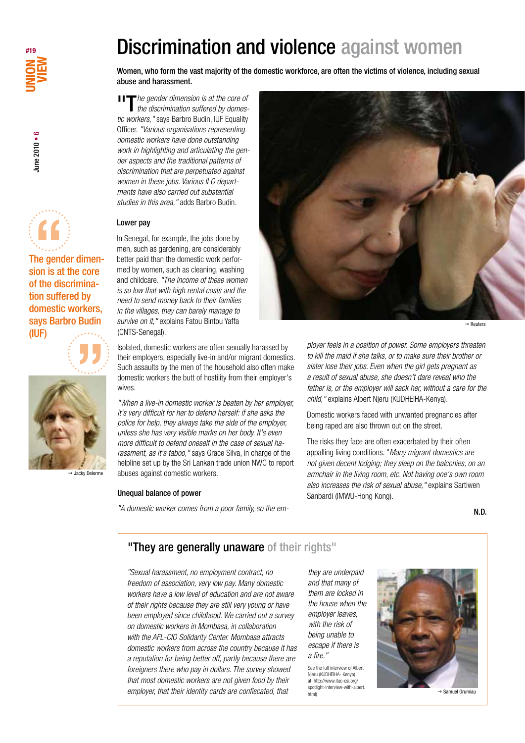





The gender dimension is at the core of the discrimination suffered by domestic workers, says Barbro Budin<br>
(IUF)<br>  $\begin{pmatrix} 1 & 1 \\ 1 & 1 \end{pmatrix}$ (IUF)





→ Jacky Delorme

### Unequal balance of power

*"A domestic worker comes from a poor family, so the em-*



"T*he gender dimension is at the core of the discrimination suffered by domestic workers,"* says Barbro Budin, IUF Equality Officer. *"Various organisations representing domestic workers have done outstanding work in highlighting and articulating the gender aspects and the traditional patterns of discrimination that are perpetuated against women in these jobs. Various ILO departments have also carried out substantial studies in this area,"* adds Barbro Budin.

## Lower pay

In Senegal, for example, the jobs done by men, such as gardening, are considerably better paid than the domestic work performed by women, such as cleaning, washing and childcare. *"The income of these women is so low that with high rental costs and the need to send money back to their families in the villages, they can barely manage to survive on it,"* explains Fatou Bintou Yaffa (CNTS-Senegal).

Isolated, domestic workers are often sexually harassed by their employers, especially live-in and/or migrant domestics. Such assaults by the men of the household also often make domestic workers the butt of hostility from their employer's wives.

*"When a live-in domestic worker is beaten by her employer, it's very difficult for her to defend herself: if she asks the police for help, they always take the side of the employer, unless she has very visible marks on her body. It's even more difficult to defend oneself in the case of sexual harassment, as it's taboo,"* says Grace Silva, in charge of the helpline set up by the Sri Lankan trade union NWC to report abuses against domestic workers.



*ployer feels in a position of power. Some employers threaten to kill the maid if she talks, or to make sure their brother or sister lose their jobs. Even when the girl gets pregnant as a result of sexual abuse, she doesn't dare reveal who the father is, or the employer will sack her, without a care for the child,"* explains Albert Njeru (KUDHEIHA-Kenya).

Domestic workers faced with unwanted pregnancies after being raped are also thrown out on the street.

The risks they face are often exacerbated by their often appalling living conditions. "*Many migrant domestics are not given decent lodging; they sleep on the balconies, on an armchair in the living room, etc. Not having one's own room also increases the risk of sexual abuse,"* explains Sartiwen Sanbardi (IMWU-Hong Kong).

N.D.

# "They are generally unaware of their rights"

*"Sexual harassment, no employment contract, no freedom of association, very low pay. Many domestic workers have a low level of education and are not aware of their rights because they are still very young or have been employed since childhood. We carried out a survey on domestic workers in Mombasa, in collaboration with the AFL-CIO Solidarity Center. Mombasa attracts domestic workers from across the country because it has a reputation for being better off, partly because there are foreigners there who pay in dollars. The survey showed that most domestic workers are not given food by their employer, that their identity cards are confiscated, that* 

*they are underpaid and that many of them are locked in the house when the employer leaves, with the risk of being unable to escape if there is a fire."*

See the full interview of Albert Njeru (KUDHEIHA- Kenya) at: http://www.ituc-csi.org/ spotlight-interview-with-albert. html)



**Samuel Grumiau**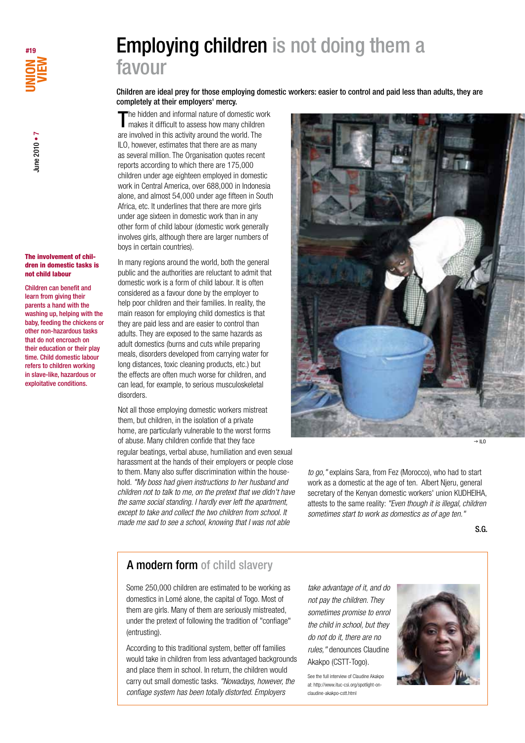

#### The involvement of children in domestic tasks is not child labour

Children can benefit and learn from giving their parents a hand with the washing up, helping with the baby, feeding the chickens or other non-hazardous tasks that do not encroach on their education or their play time. Child domestic labour refers to children working in slave-like, hazardous or exploitative conditions.

# Employing children is not doing them a favour

Children are ideal prey for those employing domestic workers: easier to control and paid less than adults, they are completely at their employers' mercy.

The hidden and informal nature of domestic work makes it difficult to assess how many children are involved in this activity around the world. The ILO, however, estimates that there are as many as several million. The Organisation quotes recent reports according to which there are 175,000 children under age eighteen employed in domestic work in Central America, over 688,000 in Indonesia alone, and almost 54,000 under age fifteen in South Africa, etc. It underlines that there are more girls under age sixteen in domestic work than in any other form of child labour (domestic work generally involves girls, although there are larger numbers of boys in certain countries).

In many regions around the world, both the general public and the authorities are reluctant to admit that domestic work is a form of child labour. It is often considered as a favour done by the employer to help poor children and their families. In reality, the main reason for employing child domestics is that they are paid less and are easier to control than adults. They are exposed to the same hazards as adult domestics (burns and cuts while preparing meals, disorders developed from carrying water for long distances, toxic cleaning products, etc.) but the effects are often much worse for children, and can lead, for example, to serious musculoskeletal disorders.

Not all those employing domestic workers mistreat them, but children, in the isolation of a private home, are particularly vulnerable to the worst forms of abuse. Many children confide that they face regular beatings, verbal abuse, humiliation and even sexual harassment at the hands of their employers or people close to them. Many also suffer discrimination within the household. *"My boss had given instructions to her husband and children not to talk to me, on the pretext that we didn't have the same social standing. I hardly ever left the apartment, except to take and collect the two children from school. It made me sad to see a school, knowing that I was not able* 



 $\rightarrow$  ILO

*to go,"* explains Sara, from Fez (Morocco), who had to start work as a domestic at the age of ten. Albert Njeru, general secretary of the Kenyan domestic workers' union KUDHEIHA, attests to the same reality: *"Even though it is illegal, children sometimes start to work as domestics as of age ten."*

S.G.

# A modern form of child slavery

Some 250,000 children are estimated to be working as domestics in Lomé alone, the capital of Togo. Most of them are girls. Many of them are seriously mistreated, under the pretext of following the tradition of "confiage" (entrusting).

According to this traditional system, better off families would take in children from less advantaged backgrounds and place them in school. In return, the children would carry out small domestic tasks. *"Nowadays, however, the confiage system has been totally distorted. Employers* 

*take advantage of it, and do not pay the children. They sometimes promise to enrol the child in school, but they do not do it, there are no rules,"* denounces Claudine Akakpo (CSTT-Togo).

See the full interview of Claudine Akakpo at: http://www.ituc-csi.org/spotlight-onclaudine-akakpo-cstt.html

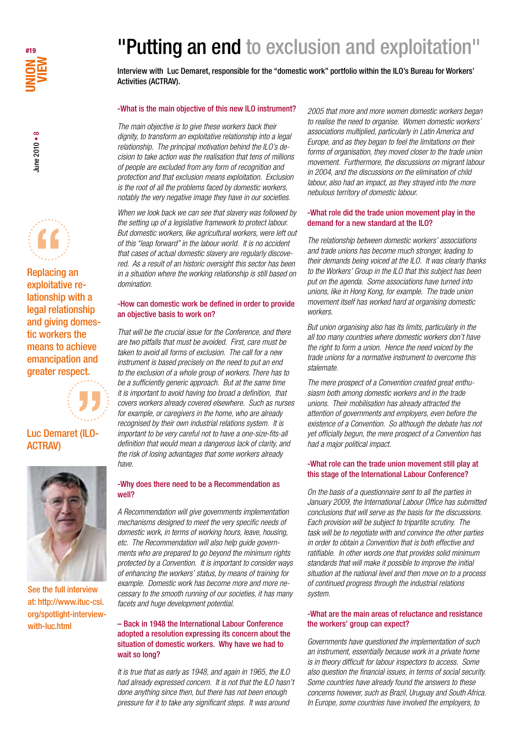



Replacing an lationship with a legal relationship and giving domestic workers the means to achieve emancipation and



# Luc Demaret (ILO-ACTRAV)



See the full interview at: http://www.ituc-csi. org/spotlight-interviewwith-luc.html

# "Putting an end to exclusion and exploitation"

Interview with Luc Demaret, responsible for the "domestic work" portfolio within the ILO's Bureau for Workers' Activities (ACTRAV).

### -What is the main objective of this new ILO instrument?

*The main objective is to give these workers back their dignity, to transform an exploitative relationship into a legal relationship. The principal motivation behind the ILO's decision to take action was the realisation that tens of millions of people are excluded from any form of recognition and protection and that exclusion means exploitation. Exclusion is the root of all the problems faced by domestic workers, notably the very negative image they have in our societies.* 

*When we look back we can see that slavery was followed by the setting up of a legislative framework to protect labour. But domestic workers, like agricultural workers, were left out of this "leap forward" in the labour world. It is no accident that cases of actual domestic slavery are regularly discovered. As a result of an historic oversight this sector has been in a situation where the working relationship is still based on domination.* 

### -How can domestic work be defined in order to provide an objective basis to work on?

*That will be the crucial issue for the Conference, and there are two pitfalls that must be avoided. First, care must be taken to avoid all forms of exclusion. The call for a new instrument is based precisely on the need to put an end to the exclusion of a whole group of workers. There has to be a sufficiently generic approach. But at the same time it is important to avoid having too broad a definition, that covers workers already covered elsewhere. Such as nurses for example, or caregivers in the home, who are already recognised by their own industrial relations system. It is important to be very careful not to have a one-size-fits-all definition that would mean a dangerous lack of clarity, and the risk of losing advantages that some workers already have.* 

### -Why does there need to be a Recommendation as well?

*A Recommendation will give governments implementation mechanisms designed to meet the very specific needs of domestic work, in terms of working hours, leave, housing, etc. The Recommendation will also help guide governments who are prepared to go beyond the minimum rights protected by a Convention. It is important to consider ways of enhancing the workers' status, by means of training for example. Domestic work has become more and more necessary to the smooth running of our societies, it has many facets and huge development potential.*

# – Back in 1948 the International Labour Conference adopted a resolution expressing its concern about the situation of domestic workers. Why have we had to wait so long?

*It is true that as early as 1948, and again in 1965, the ILO had already expressed concern. It is not that the ILO hasn't done anything since then, but there has not been enough pressure for it to take any significant steps. It was around* 

*2005 that more and more women domestic workers began to realise the need to organise. Women domestic workers' associations multiplied, particularly in Latin America and Europe, and as they began to feel the limitations on their forms of organisation, they moved closer to the trade union movement. Furthermore, the discussions on migrant labour in 2004, and the discussions on the elimination of child labour, also had an impact, as they strayed into the more nebulous territory of domestic labour.*

# -What role did the trade union movement play in the demand for a new standard at the ILO?

*The relationship between domestic workers' associations and trade unions has become much stronger, leading to their demands being voiced at the ILO. It was clearly thanks to the Workers' Group in the ILO that this subject has been put on the agenda. Some associations have turned into unions, like in Hong Kong, for example. The trade union movement itself has worked hard at organising domestic workers.*

*But union organising also has its limits, particularly in the all too many countries where domestic workers don't have the right to form a union. Hence the need voiced by the trade unions for a normative instrument to overcome this stalemate.*

*The mere prospect of a Convention created great enthusiasm both among domestic workers and in the trade unions. Their mobilisation has already attracted the attention of governments and employers, even before the existence of a Convention. So although the debate has not yet officially begun, the mere prospect of a Convention has had a major political impact.* 

## -What role can the trade union movement still play at this stage of the International Labour Conference?

*On the basis of a questionnaire sent to all the parties in January 2009, the International Labour Office has submitted conclusions that will serve as the basis for the discussions. Each provision will be subject to tripartite scrutiny. The task will be to negotiate with and convince the other parties in order to obtain a Convention that is both effective and ratifiable. In other words one that provides solid minimum standards that will make it possible to improve the initial situation at the national level and then move on to a process of continued progress through the industrial relations system.* 

# -What are the main areas of reluctance and resistance the workers' group can expect?

*Governments have questioned the implementation of such an instrument, essentially because work in a private home is in theory difficult for labour inspectors to access. Some also question the financial issues, in terms of social security. Some countries have already found the answers to these concerns however, such as Brazil, Uruguay and South Africa. In Europe, some countries have involved the employers, to*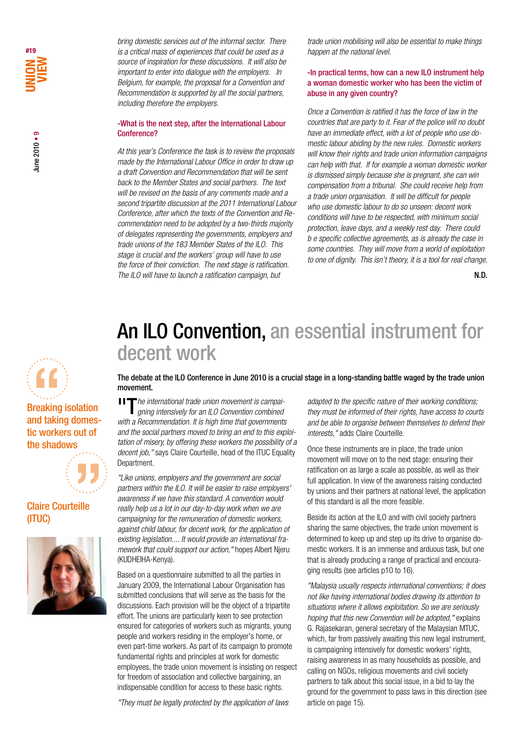une 2010 • 9 June 2010 • 9

*bring domestic services out of the informal sector. There is a critical mass of experiences that could be used as a source of inspiration for these discussions. It will also be important to enter into dialogue with the employers. In Belgium, for example, the proposal for a Convention and Recommendation is supported by all the social partners, including therefore the employers.*

# -What is the next step, after the International Labour Conference?

*At this year's Conference the task is to review the proposals made by the International Labour Office in order to draw up a draft Convention and Recommendation that will be sent back to the Member States and social partners. The text will be revised on the basis of any comments made and a second tripartite discussion at the 2011 International Labour Conference, after which the texts of the Convention and Recommendation need to be adopted by a two-thirds majority of delegates representing the governments, employers and trade unions of the 183 Member States of the ILO. This stage is crucial and the workers' group will have to use the force of their conviction. The next stage is ratification. The ILO will have to launch a ratification campaign, but* 

*trade union mobilising will also be essential to make things happen at the national level.*

# -In practical terms, how can a new ILO instrument help a woman domestic worker who has been the victim of abuse in any given country?

*Once a Convention is ratified it has the force of law in the countries that are party to it. Fear of the police will no doubt have an immediate effect, with a lot of people who use domestic labour abiding by the new rules. Domestic workers will know their rights and trade union information campaigns can help with that. If for example a woman domestic worker is dismissed simply because she is pregnant, she can win compensation from a tribunal. She could receive help from a trade union organisation. It will be difficult for people who use domestic labour to do so unseen: decent work conditions will have to be respected, with minimum social protection, leave days, and a weekly rest day. There could b e specific collective agreements, as is already the case in some countries. They will move from a world of exploitation to one of dignity. This isn't theory, it is a tool for real change.* 

N.D.

# An ILO Convention, an essential instrument for decent work

The debate at the ILO Conference in June 2010 is a crucial stage in a long-standing battle waged by the trade union movement.

**II The international trade union movement is campai***gning intensively for an ILO Convention combined with a Recommendation. It is high time that governments and the social partners moved to bring an end to this exploitation of misery, by offering these workers the possibility of a decent job,"* says Claire Courteille, head of the ITUC Equality Department.

*"Like unions, employers and the government are social partners within the ILO. It will be easier to raise employers' awareness if we have this standard. A convention would really help us a lot in our day-to-day work when we are campaigning for the remuneration of domestic workers, against child labour, for decent work, for the application of existing legislation.... It would provide an international framework that could support our action,"* hopes Albert Njeru (KUDHEIHA-Kenya).

Based on a questionnaire submitted to all the parties in January 2009, the International Labour Organisation has submitted conclusions that will serve as the basis for the discussions. Each provision will be the object of a tripartite effort. The unions are particularly keen to see protection ensured for categories of workers such as migrants, young people and workers residing in the employer's home, or even part-time workers. As part of its campaign to promote fundamental rights and principles at work for domestic employees, the trade union movement is insisting on respect for freedom of association and collective bargaining, an indispensable condition for access to these basic rights.

*"They must be legally protected by the application of laws* 

*adapted to the specific nature of their working conditions; they must be informed of their rights, have access to courts and be able to organise between themselves to defend their interests,"* adds Claire Courteille.

Once these instruments are in place, the trade union movement will move on to the next stage: ensuring their ratification on as large a scale as possible, as well as their full application. In view of the awareness raising conducted by unions and their partners at national level, the application of this standard is all the more feasible.

Beside its action at the ILO and with civil society partners sharing the same objectives, the trade union movement is determined to keep up and step up its drive to organise domestic workers. It is an immense and arduous task, but one that is already producing a range of practical and encouraging results (see articles p10 to 16).

*"Malaysia usually respects international conventions; it does not like having international bodies drawing its attention to situations where it allows exploitation. So we are seriously hoping that this new Convention will be adopted,"* explains G. Rajasekaran, general secretary of the Malaysian MTUC, which, far from passively awaiting this new legal instrument, is campaigning intensively for domestic workers' rights, raising awareness in as many households as possible, and calling on NGOs, religious movements and civil society partners to talk about this social issue, in a bid to lay the ground for the government to pass laws in this direction (see article on page 15).



# Breaking isolation and taking domestic workers out of the shadows



Claire Courteille (ITUC)

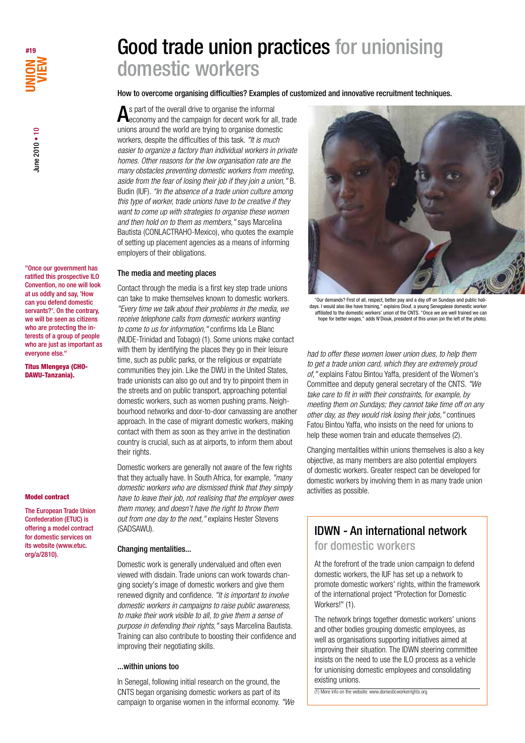

"Once our government has ratified this prospective ILO Convention, no one will look at us oddly and say, 'How can you defend domestic servants?'. On the contrary, we will be seen as citizens who are protecting the interests of a group of people who are just as important as everyone else."

Titus Mlengeya (CHO-DAWU-Tanzania).

#### Model contract

The European Trade Union Confederation (ETUC) is offering a model contract for domestic services on its website (www.etuc. org/a/2810).

# Good trade union practices for unionising domestic workers

How to overcome organising difficulties? Examples of customized and innovative recruitment techniques.

As part of the overall drive to organise the informal<br>economy and the campaign for decent work for all, trade unions around the world are trying to organise domestic workers, despite the difficulties of this task. *"It is much easier to organize a factory than individual workers in private homes. Other reasons for the low organisation rate are the many obstacles preventing domestic workers from meeting, aside from the fear of losing their job if they join a union,"* B. Budin (IUF). *"In the absence of a trade union culture among this type of worker, trade unions have to be creative if they want to come up with strategies to organise these women and then hold on to them as members,"* says Marcelina Bautista (CONLACTRAHO-Mexico), who quotes the example of setting up placement agencies as a means of informing employers of their obligations.

# The media and meeting places

Contact through the media is a first key step trade unions can take to make themselves known to domestic workers. *"Every time we talk about their problems in the media, we receive telephone calls from domestic workers wanting to come to us for information,"* confirms Ida Le Blanc (NUDE-Trinidad and Tobago) (1). Some unions make contact with them by identifying the places they go in their leisure time, such as public parks, or the religious or expatriate communities they join. Like the DWU in the United States, trade unionists can also go out and try to pinpoint them in the streets and on public transport, approaching potential domestic workers, such as women pushing prams. Neighbourhood networks and door-to-door canvassing are another approach. In the case of migrant domestic workers, making contact with them as soon as they arrive in the destination country is crucial, such as at airports, to inform them about their rights.

Domestic workers are generally not aware of the few rights that they actually have. In South Africa, for example, *"many domestic workers who are dismissed think that they simply have to leave their job, not realising that the employer owes them money, and doesn't have the right to throw them out from one day to the next,"* explains Hester Stevens (SADSAWU).

# Changing mentalities...

Domestic work is generally undervalued and often even viewed with disdain. Trade unions can work towards changing society's image of domestic workers and give them renewed dignity and confidence. *"It is important to involve domestic workers in campaigns to raise public awareness, to make their work visible to all, to give them a sense of purpose in defending their rights,"* says Marcelina Bautista. Training can also contribute to boosting their confidence and improving their negotiating skills.

# ...within unions too

In Senegal, following initial research on the ground, the CNTS began organising domestic workers as part of its campaign to organise women in the informal economy. *"We* 



"Our demands? First of all, respect, better pay and a day off on Sundays and public holidays. I would also like have training," explains Diouf, a young Senegalese domestic worker affiliated to the domestic workers' union of the CNTS. "Once we are well trained we can hope for better wages," adds N'Diouk, president of this union (on the left of the photo).

*had to offer these women lower union dues, to help them to get a trade union card, which they are extremely proud of,"* explains Fatou Bintou Yaffa, president of the Women's Committee and deputy general secretary of the CNTS. *"We take care to fit in with their constraints, for example, by meeting them on Sundays; they cannot take time off on any other day, as they would risk losing their jobs,"* continues Fatou Bintou Yaffa, who insists on the need for unions to help these women train and educate themselves (2).

Changing mentalities within unions themselves is also a key objective, as many members are also potential employers of domestic workers. Greater respect can be developed for domestic workers by involving them in as many trade union activities as possible.

# IDWN - An international network

for domestic workers

At the forefront of the trade union campaign to defend domestic workers, the IUF has set up a network to promote domestic workers' rights, within the framework of the international project "Protection for Domestic Workers!" (1).

The network brings together domestic workers' unions and other bodies grouping domestic employees, as well as organisations supporting initiatives aimed at improving their situation. The IDWN steering committee insists on the need to use the ILO process as a vehicle for unionising domestic employees and consolidating existing unions.

(1) More info on the website: www.domesticworkerrights.org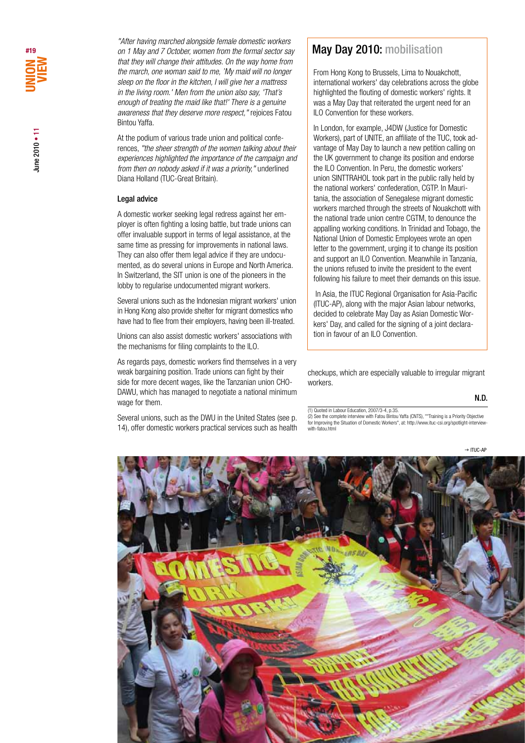*"After having marched alongside female domestic workers on 1 May and 7 October, women from the formal sector say that they will change their attitudes. On the way home from the march, one woman said to me, 'My maid will no longer sleep on the floor in the kitchen, I will give her a mattress in the living room.' Men from the union also say, 'That's enough of treating the maid like that!' There is a genuine awareness that they deserve more respect,"* rejoices Fatou Bintou Yaffa.

At the podium of various trade union and political conferences, *"the sheer strength of the women talking about their experiences highlighted the importance of the campaign and from then on nobody asked if it was a priority,"* underlined Diana Holland (TUC-Great Britain).

### Legal advice

A domestic worker seeking legal redress against her employer is often fighting a losing battle, but trade unions can offer invaluable support in terms of legal assistance, at the same time as pressing for improvements in national laws. They can also offer them legal advice if they are undocumented, as do several unions in Europe and North America. In Switzerland, the SIT union is one of the pioneers in the lobby to regularise undocumented migrant workers.

Several unions such as the Indonesian migrant workers' union in Hong Kong also provide shelter for migrant domestics who have had to flee from their employers, having been ill-treated.

Unions can also assist domestic workers' associations with the mechanisms for filing complaints to the ILO.

As regards pays, domestic workers find themselves in a very weak bargaining position. Trade unions can fight by their side for more decent wages, like the Tanzanian union CHO-DAWU, which has managed to negotiate a national minimum wage for them.

Several unions, such as the DWU in the United States (see p. 14), offer domestic workers practical services such as health

# May Day 2010: mobilisation

From Hong Kong to Brussels, Lima to Nouakchott, international workers' day celebrations across the globe highlighted the flouting of domestic workers' rights. It was a May Day that reiterated the urgent need for an ILO Convention for these workers.

In London, for example, J4DW (Justice for Domestic Workers), part of UNITE, an affiliate of the TUC, took advantage of May Day to launch a new petition calling on the UK government to change its position and endorse the ILO Convention. In Peru, the domestic workers' union SINTTRAHOL took part in the public rally held by the national workers' confederation, CGTP. In Mauritania, the association of Senegalese migrant domestic workers marched through the streets of Nouakchott with the national trade union centre CGTM, to denounce the appalling working conditions. In Trinidad and Tobago, the National Union of Domestic Employees wrote an open letter to the government, urging it to change its position and support an ILO Convention. Meanwhile in Tanzania, the unions refused to invite the president to the event following his failure to meet their demands on this issue.

 In Asia, the ITUC Regional Organisation for Asia-Pacific (ITUC-AP), along with the major Asian labour networks, decided to celebrate May Day as Asian Domestic Workers' Day, and called for the signing of a joint declaration in favour of an ILO Convention.

checkups, which are especially valuable to irregular migrant workers.

N.D.

(1) Quoted in Labour Education, 2007/3-4, p.35. (2) See the complete interview with Fatou Bintou Yaffa (CNTS), ""Training is a Priority Objective for Improving the Situation of Domestic Workers", at: http://www.ituc-csi.org/spotlight-interview-with-fatou.html

 $\rightarrow$  ITUC-AP

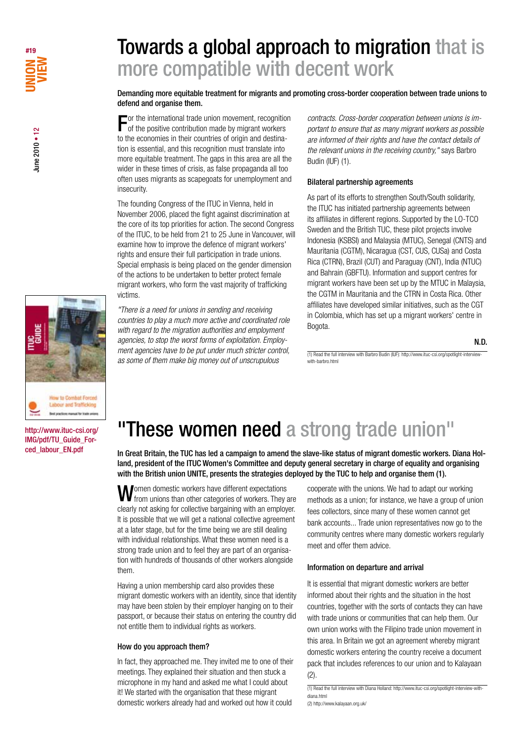

# Towards a global approach to migration that is more compatible with decent work

Demanding more equitable treatment for migrants and promoting cross-border cooperation between trade unions to defend and organise them.

For the international trade union movement, recognition of the positive contribution made by migrant workers to the economies in their countries of origin and destination is essential, and this recognition must translate into more equitable treatment. The gaps in this area are all the wider in these times of crisis, as false propaganda all too often uses migrants as scapegoats for unemployment and insecurity.

The founding Congress of the ITUC in Vienna, held in November 2006, placed the fight against discrimination at the core of its top priorities for action. The second Congress of the ITUC, to be held from 21 to 25 June in Vancouver, will examine how to improve the defence of migrant workers' rights and ensure their full participation in trade unions. Special emphasis is being placed on the gender dimension of the actions to be undertaken to better protect female migrant workers, who form the vast majority of trafficking victims.

*"There is a need for unions in sending and receiving countries to play a much more active and coordinated role with regard to the migration authorities and employment agencies, to stop the worst forms of exploitation. Employment agencies have to be put under much stricter control, as some of them make big money out of unscrupulous* 

*contracts. Cross-border cooperation between unions is important to ensure that as many migrant workers as possible are informed of their rights and have the contact details of the relevant unions in the receiving country,"* says Barbro Budin (IUF) (1).

### Bilateral partnership agreements

As part of its efforts to strengthen South/South solidarity, the ITUC has initiated partnership agreements between its affiliates in different regions. Supported by the LO-TCO Sweden and the British TUC, these pilot projects involve Indonesia (KSBSI) and Malaysia (MTUC), Senegal (CNTS) and Mauritania (CGTM), Nicaragua (CST, CUS, CUSa) and Costa Rica (CTRN), Brazil (CUT) and Paraguay (CNT), India (NTUC) and Bahrain (GBFTU). Information and support centres for migrant workers have been set up by the MTUC in Malaysia, the CGTM in Mauritania and the CTRN in Costa Rica. Other affiliates have developed similar initiatives, such as the CGT in Colombia, which has set up a migrant workers' centre in Bogota.

N.D.





http://www.ituc-csi.org/ IMG/pdf/TU\_Guide\_Forced\_labour\_EN.pdf

# "These women need a strong trade union"

In Great Britain, the TUC has led a campaign to amend the slave-like status of migrant domestic workers. Diana Holland, president of the ITUC Women's Committee and deputy general secretary in charge of equality and organising with the British union UNITE, presents the strategies deployed by the TUC to help and organise them (1).

Women domestic workers have different expectations<br>
We from unions than other categories of workers. They are clearly not asking for collective bargaining with an employer. It is possible that we will get a national collective agreement at a later stage, but for the time being we are still dealing with individual relationships. What these women need is a strong trade union and to feel they are part of an organisation with hundreds of thousands of other workers alongside them.

Having a union membership card also provides these migrant domestic workers with an identity, since that identity may have been stolen by their employer hanging on to their passport, or because their status on entering the country did not entitle them to individual rights as workers.

### How do you approach them?

In fact, they approached me. They invited me to one of their meetings. They explained their situation and then stuck a microphone in my hand and asked me what I could about it! We started with the organisation that these migrant domestic workers already had and worked out how it could

cooperate with the unions. We had to adapt our working methods as a union; for instance, we have a group of union fees collectors, since many of these women cannot get bank accounts... Trade union representatives now go to the community centres where many domestic workers regularly meet and offer them advice.

## Information on departure and arrival

It is essential that migrant domestic workers are better informed about their rights and the situation in the host countries, together with the sorts of contacts they can have with trade unions or communities that can help them. Our own union works with the Filipino trade union movement in this area. In Britain we got an agreement whereby migrant domestic workers entering the country receive a document pack that includes references to our union and to Kalayaan  $(2)$ .

<sup>(1)</sup> Read the full interview with Diana Holland: http://www.ituc-csi.org/spotlight-interview-withdiana.html

<sup>(2)</sup> http://www.kalayaan.org.uk/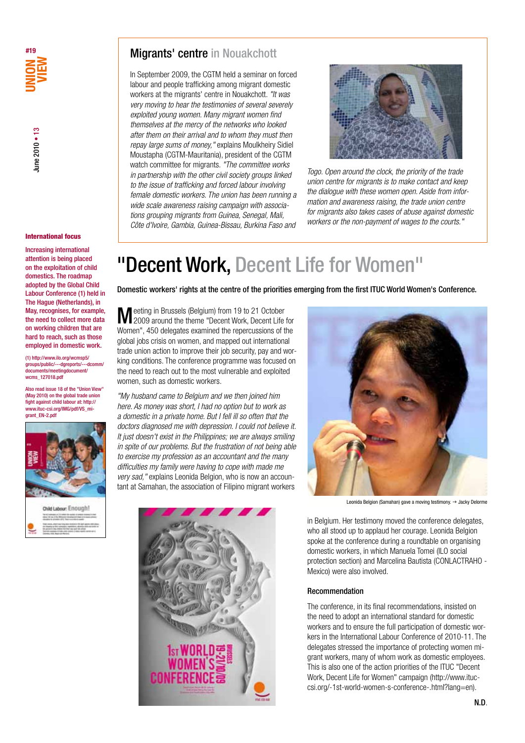

#### International focus

Increasing international attention is being placed on the exploitation of child domestics. The roadmap adopted by the Global Child Labour Conference (1) held in The Hague (Netherlands), in May, recognises, for example, the need to collect more data on working children that are hard to reach, such as those employed in domestic work.

(1) http://www.ilo.org/wcmsp5/ groups/public/---dgreports/---dcomm/ ents/meetingdocument/ wcms\_127018.pdf

Also read issue 18 of the "Union View" (May 2010) on the global trade union fight against child labour at: http:// www.ituc-csi.org/IMG/pdf/VS\_migrant\_EN-2.pdf



# Migrants' centre in Nouakchott

In September 2009, the CGTM held a seminar on forced labour and people trafficking among migrant domestic workers at the migrants' centre in Nouakchott. *"It was very moving to hear the testimonies of several severely exploited young women. Many migrant women find themselves at the mercy of the networks who looked after them on their arrival and to whom they must then repay large sums of money,"* explains Moulkheiry Sidiel Moustapha (CGTM-Mauritania), president of the CGTM watch committee for migrants. *"The committee works in partnership with the other civil society groups linked to the issue of trafficking and forced labour involving female domestic workers. The union has been running a wide scale awareness raising campaign with associations grouping migrants from Guinea, Senegal, Mali, Côte d'Ivoire, Gambia, Guinea-Bissau, Burkina Faso and* 



*Togo. Open around the clock, the priority of the trade union centre for migrants is to make contact and keep the dialogue with these women open. Aside from information and awareness raising, the trade union centre for migrants also takes cases of abuse against domestic workers or the non-payment of wages to the courts."*

# "Decent Work, Decent Life for Women"

Domestic workers' rights at the centre of the priorities emerging from the first ITUC World Women's Conference.

Meeting in Brussels (Belgium) from 19 to 21 October 2009 around the theme "Decent Work, Decent Life for Women", 450 delegates examined the repercussions of the global jobs crisis on women, and mapped out international trade union action to improve their job security, pay and working conditions. The conference programme was focused on the need to reach out to the most vulnerable and exploited women, such as domestic workers.

*"My husband came to Belgium and we then joined him here. As money was short, I had no option but to work as a domestic in a private home. But I fell ill so often that the doctors diagnosed me with depression. I could not believe it. It just doesn't exist in the Philippines; we are always smiling in spite of our problems. But the frustration of not being able to exercise my profession as an accountant and the many difficulties my family were having to cope with made me very sad,"* explains Leonida Belgion, who is now an accountant at Samahan, the association of Filipino migrant workers





Leonida Belgion (Samahan) gave a moving testimony.  $\rightarrow$  Jacky Delorme

in Belgium. Her testimony moved the conference delegates, who all stood up to applaud her courage. Leonida Belgion spoke at the conference during a roundtable on organising domestic workers, in which Manuela Tomei (ILO social protection section) and Marcelina Bautista (CONLACTRAHO - Mexico) were also involved.

#### Recommendation

The conference, in its final recommendations, insisted on the need to adopt an international standard for domestic workers and to ensure the full participation of domestic workers in the International Labour Conference of 2010-11. The delegates stressed the importance of protecting women migrant workers, many of whom work as domestic employees. This is also one of the action priorities of the ITUC "Decent Work, Decent Life for Women" campaign (http://www.ituccsi.org/-1st-world-women-s-conference-.html?lang=en).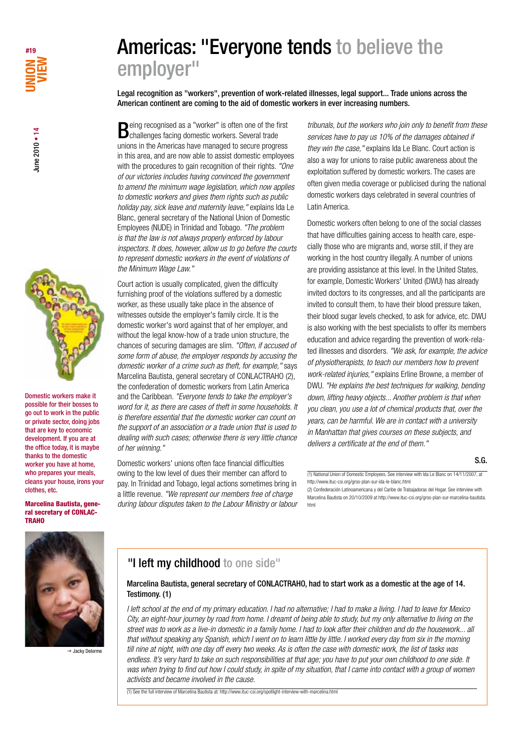

Domestic workers make it possible for their bosses to go out to work in the public or private sector, doing jobs that are key to economic development. If you are at the office today, it is maybe thanks to the domestic worker you have at home, who prepares your meals, cleans your house, irons your clothes, etc.

#### Marcelina Bautista, general secretary of CONLAC-TRAHO

Being recognised as a "worker" is often one of the first challenges facing domestic workers. Several trade unions in the Americas have managed to secure progress in this area, and are now able to assist domestic employees with the procedures to gain recognition of their rights. *"One of our victories includes having convinced the government to amend the minimum wage legislation, which now applies to domestic workers and gives them rights such as public holiday pay, sick leave and maternity leave,"* explains Ida Le Blanc, general secretary of the National Union of Domestic Employees (NUDE) in Trinidad and Tobago. *"The problem is that the law is not always properly enforced by labour inspectors. It does, however, allow us to go before the courts to represent domestic workers in the event of violations of the Minimum Wage Law."*

employer"

Americas: "Everyone tends to believe the

American continent are coming to the aid of domestic workers in ever increasing numbers.

Legal recognition as "workers", prevention of work-related illnesses, legal support... Trade unions across the

Court action is usually complicated, given the difficulty furnishing proof of the violations suffered by a domestic worker, as these usually take place in the absence of witnesses outside the employer's family circle. It is the domestic worker's word against that of her employer, and without the legal know-how of a trade union structure, the chances of securing damages are slim. *"Often, if accused of some form of abuse, the employer responds by accusing the domestic worker of a crime such as theft, for example,"* says Marcelina Bautista, general secretary of CONLACTRAHO (2), the confederation of domestic workers from Latin America and the Caribbean. *"Everyone tends to take the employer's word for it, as there are cases of theft in some households. It is therefore essential that the domestic worker can count on the support of an association or a trade union that is used to dealing with such cases; otherwise there is very little chance of her winning."*

Domestic workers' unions often face financial difficulties owing to the low level of dues their member can afford to pay. In Trinidad and Tobago, legal actions sometimes bring in a little revenue. *"We represent our members free of charge during labour disputes taken to the Labour Ministry or labour* 

*tribunals, but the workers who join only to benefit from these services have to pay us 10% of the damages obtained if they win the case,"* explains Ida Le Blanc. Court action is also a way for unions to raise public awareness about the exploitation suffered by domestic workers. The cases are often given media coverage or publicised during the national domestic workers days celebrated in several countries of Latin America.

Domestic workers often belong to one of the social classes that have difficulties gaining access to health care, especially those who are migrants and, worse still, if they are working in the host country illegally. A number of unions are providing assistance at this level. In the United States, for example, Domestic Workers' United (DWU) has already invited doctors to its congresses, and all the participants are invited to consult them, to have their blood pressure taken, their blood sugar levels checked, to ask for advice, etc. DWU is also working with the best specialists to offer its members education and advice regarding the prevention of work-related illnesses and disorders. *"We ask, for example, the advice of physiotherapists, to teach our members how to prevent work-related injuries,"* explains Erline Browne, a member of DWU. *"He explains the best techniques for walking, bending down, lifting heavy objects... Another problem is that when you clean, you use a lot of chemical products that, over the years, can be harmful. We are in contact with a university in Manhattan that gives courses on these subjects, and delivers a certificate at the end of them."*

S.G.

(2) Confederación Latinoamericana y del Caribe de Trabajadoras del Hogar. See interview with Marcelina Bautista on 20/10/2009 at http://www.ituc-csi.org/gros-plan-sur-marcelina-bautista. html



 $\rightarrow$  Jacky Delorme

# "I left my childhood to one side"

# Marcelina Bautista, general secretary of CONLACTRAHO, had to start work as a domestic at the age of 14. Testimony. (1)

*I left school at the end of my primary education. I had no alternative; I had to make a living. I had to leave for Mexico City, an eight-hour journey by road from home. I dreamt of being able to study, but my only alternative to living on the street was to work as a live-in domestic in a family home. I had to look after their children and do the housework... all that without speaking any Spanish, which I went on to learn little by little. I worked every day from six in the morning till nine at night, with one day off every two weeks. As is often the case with domestic work, the list of tasks was endless. It's very hard to take on such responsibilities at that age; you have to put your own childhood to one side. It was when trying to find out how I could study, in spite of my situation, that I came into contact with a group of women activists and became involved in the cause.*

(1) See the full interview of Marcelina Bautista at: http://www.ituc-csi.org/spotlight-interview-with-marcelina.html

<sup>(1)</sup> National Union of Domestic Employees. See interview with Ida Le Blanc on 14/11/2007, at http://www.ituc-csi.org/gros-plan-sur-ida-le-blanc.html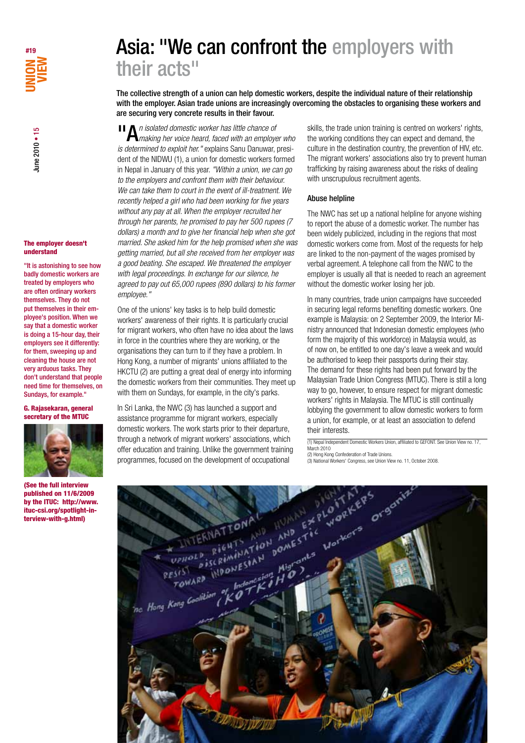

#### The employer doesn't understand

"It is astonishing to see how badly domestic workers are treated by employers who are often ordinary workers themselves. They do not put themselves in their employee's position. When we say that a domestic worker is doing a 15-hour day, their employers see it differently: for them, sweeping up and cleaning the house are not very arduous tasks. They don't understand that people need time for themselves, on Sundays, for example."

#### G. Rajasekaran, general secretary of the MTUC



(See the full interview published on 11/6/2009 by the ITUC: http://www. ituc-csi.org/spotlight-interview-with-g.html)

# Asia: "We can confront the employers with their acts"

The collective strength of a union can help domestic workers, despite the individual nature of their relationship with the employer. Asian trade unions are increasingly overcoming the obstacles to organising these workers and are securing very concrete results in their favour.

**II** An isolated domestic worker has little chance of **Annumism** her voice heard, faced with an employer who *is determined to exploit her."* explains Sanu Danuwar, president of the NIDWU (1), a union for domestic workers formed in Nepal in January of this year. *"Within a union, we can go to the employers and confront them with their behaviour. We can take them to court in the event of ill-treatment. We recently helped a girl who had been working for five years without any pay at all. When the employer recruited her through her parents, he promised to pay her 500 rupees (7 dollars) a month and to give her financial help when she got married. She asked him for the help promised when she was getting married, but all she received from her employer was a good beating. She escaped. We threatened the employer with legal proceedings. In exchange for our silence, he agreed to pay out 65,000 rupees (890 dollars) to his former employee."*

One of the unions' key tasks is to help build domestic workers' awareness of their rights. It is particularly crucial for migrant workers, who often have no idea about the laws in force in the countries where they are working, or the organisations they can turn to if they have a problem. In Hong Kong, a number of migrants' unions affiliated to the HKCTU (2) are putting a great deal of energy into informing the domestic workers from their communities. They meet up with them on Sundays, for example, in the city's parks.

In Sri Lanka, the NWC (3) has launched a support and assistance programme for migrant workers, especially domestic workers. The work starts prior to their departure, through a network of migrant workers' associations, which offer education and training. Unlike the government training programmes, focused on the development of occupational

skills, the trade union training is centred on workers' rights, the working conditions they can expect and demand, the culture in the destination country, the prevention of HIV, etc. The migrant workers' associations also try to prevent human trafficking by raising awareness about the risks of dealing with unscrupulous recruitment agents.

### Abuse helpline

The NWC has set up a national helpline for anyone wishing to report the abuse of a domestic worker. The number has been widely publicized, including in the regions that most domestic workers come from. Most of the requests for help are linked to the non-payment of the wages promised by verbal agreement. A telephone call from the NWC to the employer is usually all that is needed to reach an agreement without the domestic worker losing her job.

In many countries, trade union campaigns have succeeded in securing legal reforms benefiting domestic workers. One example is Malaysia: on 2 September 2009, the Interior Ministry announced that Indonesian domestic employees (who form the majority of this workforce) in Malaysia would, as of now on, be entitled to one day's leave a week and would be authorised to keep their passports during their stay. The demand for these rights had been put forward by the Malaysian Trade Union Congress (MTUC). There is still a long way to go, however, to ensure respect for migrant domestic workers' rights in Malaysia. The MTUC is still continually lobbying the government to allow domestic workers to form a union, for example, or at least an association to defend their interests.

(1) Nepal Independent Domestic Workers Union, affiliated to GEFONT. See Union View no. 17, March 2010 (2) Hong Kong Confederation of Trade Unions.

(3) National Workers' Congress, see Union View no. 11, October 2008.